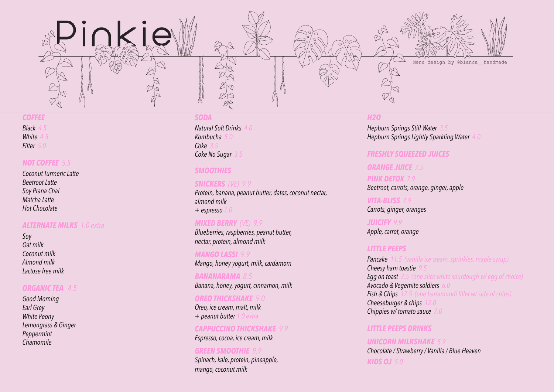

#### Menu design by @blanca\_\_handmade

# COFFEE *COFFEE*

 $4.5$ White 4.0 *Filter 5.0 Black 4.5 White* 

#### $\frac{1}{2}$ *NOT COFFEE 5.5*

of Latte 5.000 million of the state 5.000 million of the state  $5.0$ Beetroot & Ginger latte 5.0 *Soy Prana Chai* Soy Prana Chai 5.0 *Matcha Latte* Matcha Latte 5.0 *Hot Chocolate Coconut Turmeric Latte Beetroot Latte*

### *ALTERNATE MILKS 1.0 extra*

ALTERNATE MYLKS + Soy 20c *Coconut milk* + Oat milk 50c *Almond milk* + Coconut milk 50c *Lactose free milk Soy Oat milk*

#### *ORGANIC TEA 4.5*

**Good Morning** Good Morning Earl Grey *White Peony* Lemongrass & Ginger Lemongrass & Ginger *Peppermint Chamomile Earl Grey*

# SMOOTHIES *SODA*

*Kombucha 5.0* protein, banana, peanut butter, dates, dates, dates, dates, dates, dates, dates, dates, dates, dates, dates, da **Coke No Sugar** 3.5 *Coke No Sugar* 3.5 + Espresso 1.0 *Natural Soft Drinks 4.0 Coke 3.5*

#### *SMOOTHIES*

Blueberries, banana, peanut butter, *SNICKERS (VE) 9.9* Protein, banana, peanut butter, dates, coconut nectar, *and* cacao nibs, chia *almond milk*   $\mathcal{L}_{\mathbf{p}}$  $+$  *espresso* 

# Raspberries, banana, peanut butter, *MIXED BERRY (VE) 9.9 Blueberries, raspberries, peanut butter,*

 $\mathcal{L}$  and  $\mathcal{L}$   $\mathcal{L}$ *nectar, protein, almond milk*

Mango, honey yoghurt, milk, cardamom *MANGO LASSI 9.9 Mango, honey yogurt, milk, cardamom*

**BANANARAMA** 8.5 Banana, honey, yoghurt, cinnamon, milkinamon, milkinamon, milkinamon, milkinamon, milkinamon, milkinamon, milki *Banana, honey, yogurt, cinnamon, milk*

# OREO THICKSHAKE 8.5 *OREO THICKSHAKE 9.0*

Oreo, ice cream, malt, milk *Oreo, ice cream, malt, milk*  + Peanut butter 1.0 *+ peanut butter 1.0 extra*

CAPPUCCINO THICKSHAKE 8.5 *CAPPUCCINO THICKSHAKE 9.9* Espresso, cocoa, icecream, milk *Espresso, cocoa, ice cream, milk*

#### *GREEN SMOOTHIE 9.9*

**(Please let us know if you have any intolerances or allergies and we will do our best to cater for you)** *mango, coconut milk Spinach, kale, protein, pineapple,* 

# H2O *H2O*

**Hepburn Springs Lightly Sparkling Water 4.0**  $H_{\rm eff}$  Springs sparkling water 4.0  $\mu$ **Hepburn Springs Still Water** 

# SODA *FRESHLY SQUEEZED JUICES*

# *ORANGE JUICE 7.5*

Natural Soft Drinks 4.0 *PINK DETOX 7.9*  $B_1 \rightarrow B_2 \rightarrow B_3$ Kombucha 5.0 *Beetroot, carrots, orange, ginger, apple*

Coke 3.5 *VITA-BLISS 7.9* Carrots, ginger, oranges

*JUICIFY 9.9 Apple, carrot, orange*

#### Little peers of the peers of the peers of the peers of the peers of the peers of the peers of the peers of the *LITTLE PEEPS*

**Pancake** 11.5 (vanilla ice cream, sprinkles, maple syrup) *Cheesy ham toastie 9.5* Egg on toast 7.5 (one slice white sourdough w/ egg of choice) Egg on toast 7.5 *Avocado & Vegemite soldiers 6.0*   $\alpha$   $\alpha$  vegemite soluters  $\alpha$ . *Fish & Chips 17.5 (one barramundi fillet w/ side of chips)* **Cheeseburger & chips** 12.0 *Chippies w/ tomato sauce 7.0* 

#### Chocolate / Strawberry / Vanilla / Blue Heaven *LITTLE PEEPS DRINKS*

**UNICORN MILKSHAKE** 5.9 *Chocolate / Strawberry / Vanilla / Blue Heaven KIDS OJ 5.0*